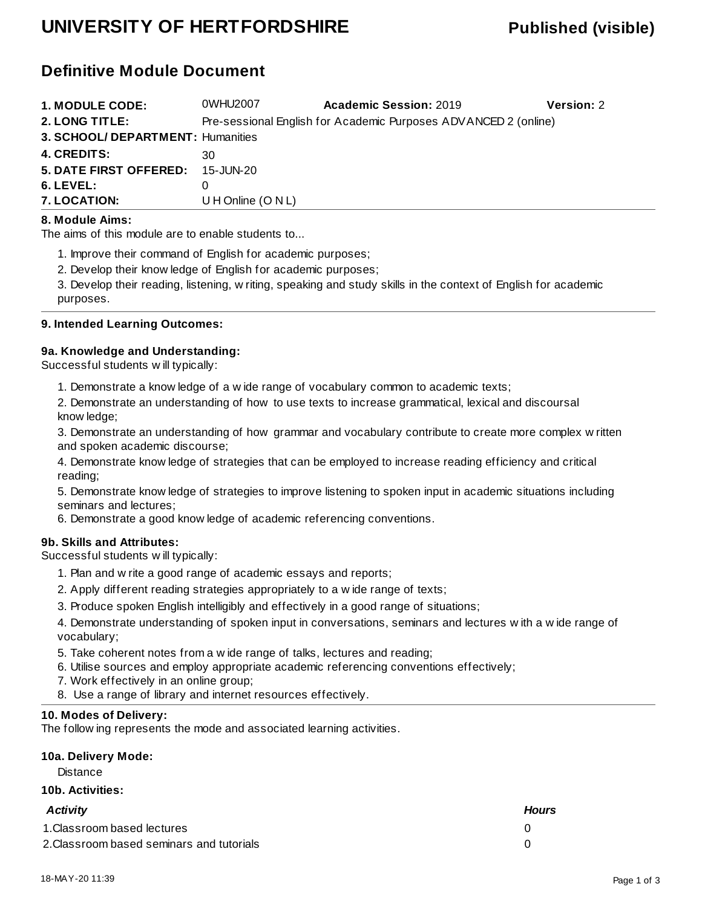## **UNIVERSITY OF HERTFORDSHIRE Published (visible)**

## **Definitive Module Document**

| <b>1. MODULE CODE:</b>            | 0WHU2007             | <b>Academic Session: 2019</b>                                   | <b>Version: 2</b> |
|-----------------------------------|----------------------|-----------------------------------------------------------------|-------------------|
| 2. LONG TITLE:                    |                      | Pre-sessional English for Academic Purposes ADVANCED 2 (online) |                   |
| 3. SCHOOL/ DEPARTMENT: Humanities |                      |                                                                 |                   |
| <b>4. CREDITS:</b>                | 30                   |                                                                 |                   |
| <b>5. DATE FIRST OFFERED:</b>     | 15-JUN-20            |                                                                 |                   |
| 6. LEVEL:                         |                      |                                                                 |                   |
| <b>7. LOCATION:</b>               | U H Online $(O N L)$ |                                                                 |                   |

#### **8. Module Aims:**

The aims of this module are to enable students to...

1. Improve their command of English for academic purposes;

2. Develop their knowledge of English for academic purposes;

3. Develop their reading, listening, writing, speaking and study skills in the context of English for academic purposes.

#### **9. Intended Learning Outcomes:**

#### **9a. Knowledge and Understanding:**

Successful students will typically:

1. Demonstrate a knowledge of a wide range of vocabulary common to academic texts;

2. Demonstrate an understanding of how to use texts to increase grammatical, lexical and discoursal knowledge;

3. Demonstrate an understanding of how grammar and vocabulary contribute to create more complex written and spoken academic discourse;

4. Demonstrate knowledge of strategies that can be employed to increase reading efficiency and critical reading;

5. Demonstrate knowledge of strategies to improve listening to spoken input in academic situations including seminars and lectures;

6. Demonstrate a good knowledge of academic referencing conventions.

#### **9b. Skills and Attributes:**

Successful students will typically:

- 1. Plan and write a good range of academic essays and reports;
- 2. Apply different reading strategies appropriately to a wide range of texts;
- 3. Produce spoken English intelligibly and effectively in a good range of situations;

4. Demonstrate understanding of spoken input in conversations, seminars and lectures with a wide range of vocabulary;

5. Take coherent notes from a wide range of talks, lectures and reading;

- 6. Utilise sources and employ appropriate academic referencing conventions effectively;
- 7. Work effectively in an online group;
- 8. Use a range of library and internet resources effectively.

#### **10. Modes of Delivery:**

The following represents the mode and associated learning activities.

### **10a. Delivery Mode:**

**Distance** 

#### **10b. Activities:**

| Activity                                  | <b>Hours</b> |
|-------------------------------------------|--------------|
| 1. Classroom based lectures               |              |
| 2. Classroom based seminars and tutorials |              |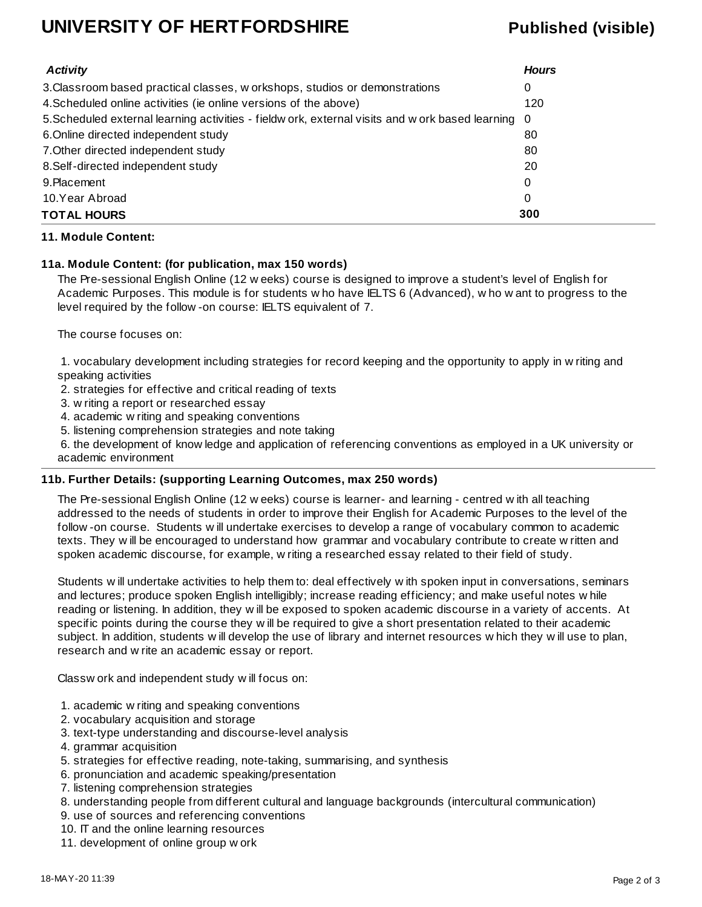## **UNIVERSITY OF HERTFORDSHIRE Published (visible)**

| <b>Activity</b>                                                                                    | <b>Hours</b> |
|----------------------------------------------------------------------------------------------------|--------------|
| 3. Classroom based practical classes, w orkshops, studios or demonstrations                        | 0            |
| 4. Scheduled online activities (ie online versions of the above)                                   | 120          |
| 5. Scheduled external learning activities - fieldw ork, external visits and w ork based learning 0 |              |
| 6. Online directed independent study                                                               | 80           |
| 7. Other directed independent study                                                                | 80           |
| 8. Self-directed independent study                                                                 | 20           |
| 9. Placement                                                                                       | 0            |
| 10.Year Abroad                                                                                     | 0            |
| <b>TOTAL HOURS</b>                                                                                 | 300          |

#### **11. Module Content:**

#### **11a. Module Content: (for publication, max 150 words)**

The Pre-sessional English Online (12 weeks) course is designed to improve a student's level of English for Academic Purposes. This module is for students who have IELTS 6 (Advanced), who want to progress to the level required by the follow-on course: IELTS equivalent of 7.

The course focuses on:

 1. vocabulary development including strategies for record keeping and the opportunity to apply in writing and speaking activities

2. strategies for effective and critical reading of texts

- 3. writing a report or researched essay
- 4. academic writing and speaking conventions
- 5. listening comprehension strategies and note taking

 6. the development of knowledge and application of referencing conventions as employed in a UK university or academic environment

#### **11b. Further Details: (supporting Learning Outcomes, max 250 words)**

The Pre-sessional English Online (12 weeks) course is learner- and learning - centred with all teaching addressed to the needs of students in order to improve their English for Academic Purposes to the level of the follow-on course. Students will undertake exercises to develop a range of vocabulary common to academic texts. They will be encouraged to understand how grammar and vocabulary contribute to create written and spoken academic discourse, for example, writing a researched essay related to their field of study.

Students will undertake activities to help them to: deal effectively with spoken input in conversations, seminars and lectures; produce spoken English intelligibly; increase reading efficiency; and make useful notes while reading or listening. In addition, they will be exposed to spoken academic discourse in a variety of accents. At specific points during the course they will be required to give a short presentation related to their academic subject. In addition, students will develop the use of library and internet resources which they will use to plan, research and write an academic essay or report.

Classwork and independent study will focus on:

- 1. academic writing and speaking conventions
- 2. vocabulary acquisition and storage
- 3. text-type understanding and discourse-level analysis
- 4. grammar acquisition
- 5. strategies for effective reading, note-taking, summarising, and synthesis
- 6. pronunciation and academic speaking/presentation
- 7. listening comprehension strategies
- 8. understanding people from different cultural and language backgrounds (intercultural communication)
- 9. use of sources and referencing conventions
- 10. IT and the online learning resources
- 11. development of online group work